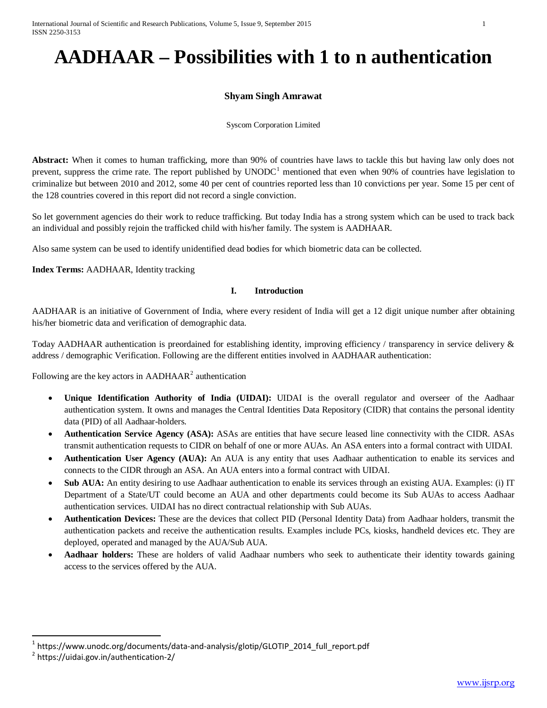# **AADHAAR – Possibilities with 1 to n authentication**

# **Shyam Singh Amrawat**

Syscom Corporation Limited

**Abstract:** When it comes to human trafficking, more than 90% of countries have laws to tackle this but having law only does not prevent, suppress the crime rate. The report published by  $UNODC<sup>1</sup>$  $UNODC<sup>1</sup>$  $UNODC<sup>1</sup>$  mentioned that even when 90% of countries have legislation to criminalize but between 2010 and 2012, some 40 per cent of countries reported less than 10 convictions per year. Some 15 per cent of the 128 countries covered in this report did not record a single conviction.

So let government agencies do their work to reduce trafficking. But today India has a strong system which can be used to track back an individual and possibly rejoin the trafficked child with his/her family. The system is AADHAAR.

Also same system can be used to identify unidentified dead bodies for which biometric data can be collected.

**Index Terms:** AADHAAR, Identity tracking

#### **I. Introduction**

AADHAAR is an initiative of Government of India, where every resident of India will get a 12 digit unique number after obtaining his/her biometric data and verification of demographic data.

Today AADHAAR authentication is preordained for establishing identity, improving efficiency / transparency in service delivery & address / demographic Verification. Following are the different entities involved in AADHAAR authentication:

Following are the key actors in  $AADHAAR<sup>2</sup>$  $AADHAAR<sup>2</sup>$  $AADHAAR<sup>2</sup>$  authentication

- **Unique Identification Authority of India (UIDAI):** UIDAI is the overall regulator and overseer of the Aadhaar authentication system. It owns and manages the Central Identities Data Repository (CIDR) that contains the personal identity data (PID) of all Aadhaar-holders.
- **Authentication Service Agency (ASA):** ASAs are entities that have secure leased line connectivity with the CIDR. ASAs transmit authentication requests to CIDR on behalf of one or more AUAs. An ASA enters into a formal contract with UIDAI.
- **Authentication User Agency (AUA):** An AUA is any entity that uses Aadhaar authentication to enable its services and connects to the CIDR through an ASA. An AUA enters into a formal contract with UIDAI.
- **Sub AUA:** An entity desiring to use Aadhaar authentication to enable its services through an existing AUA. Examples: (i) IT Department of a State/UT could become an AUA and other departments could become its Sub AUAs to access Aadhaar authentication services. UIDAI has no direct contractual relationship with Sub AUAs.
- **Authentication Devices:** These are the devices that collect PID (Personal Identity Data) from Aadhaar holders, transmit the authentication packets and receive the authentication results. Examples include PCs, kiosks, handheld devices etc. They are deployed, operated and managed by the AUA/Sub AUA.
- **Aadhaar holders:** These are holders of valid Aadhaar numbers who seek to authenticate their identity towards gaining access to the services offered by the AUA.

<span id="page-0-0"></span><sup>&</sup>lt;sup>1</sup> https://www.unodc.org/documents/data-and-analysis/glotip/GLOTIP\_2014\_full\_report.pdf  $^{2}$  https://uidai.gov.in/authentication-2/

<span id="page-0-1"></span>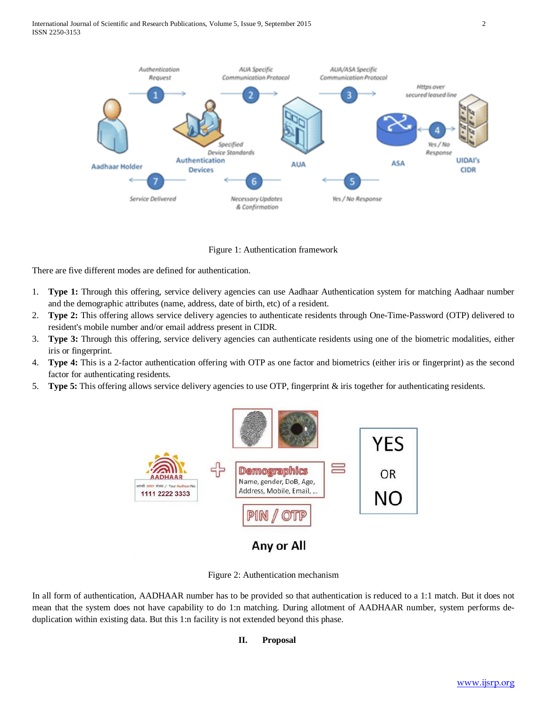

Figure 1: Authentication framework

There are five different modes are defined for authentication.

- 1. **Type 1:** Through this offering, service delivery agencies can use Aadhaar Authentication system for matching Aadhaar number and the demographic attributes (name, address, date of birth, etc) of a resident.
- 2. **Type 2:** This offering allows service delivery agencies to authenticate residents through One-Time-Password (OTP) delivered to resident's mobile number and/or email address present in CIDR.
- 3. **Type 3:** Through this offering, service delivery agencies can authenticate residents using one of the biometric modalities, either iris or fingerprint.
- 4. **Type 4:** This is a 2-factor authentication offering with OTP as one factor and biometrics (either iris or fingerprint) as the second factor for authenticating residents.
- 5. **Type 5:** This offering allows service delivery agencies to use OTP, fingerprint & iris together for authenticating residents.



Figure 2: Authentication mechanism

In all form of authentication, AADHAAR number has to be provided so that authentication is reduced to a 1:1 match. But it does not mean that the system does not have capability to do 1:n matching. During allotment of AADHAAR number, system performs deduplication within existing data. But this 1:n facility is not extended beyond this phase.

#### **II. Proposal**